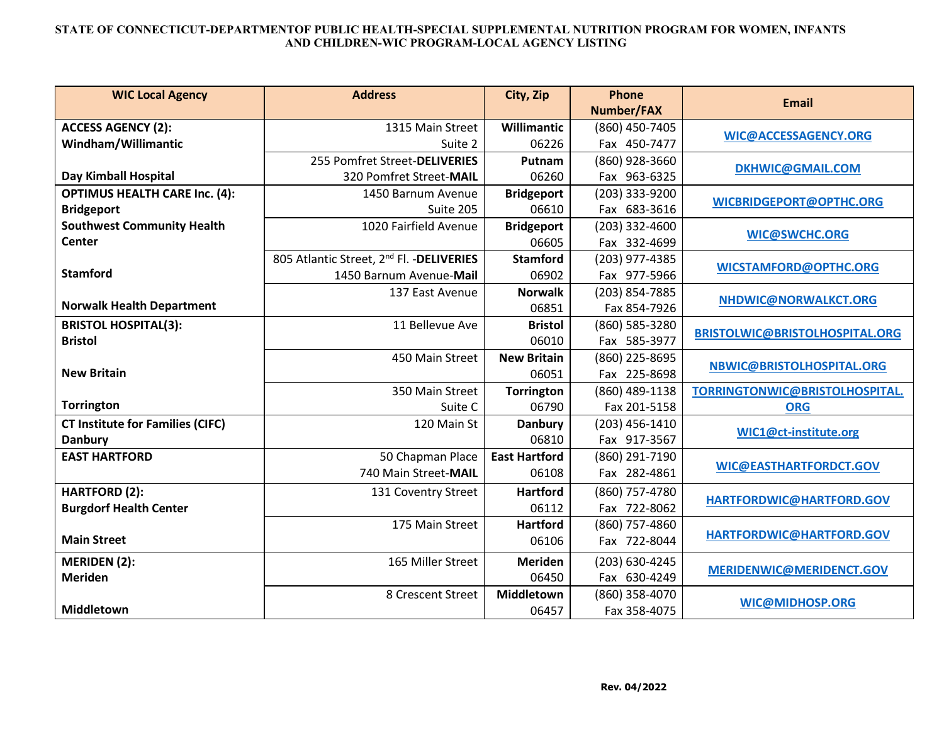## **STATE OF CONNECTICUT-DEPARTMENTOF PUBLIC HEALTH-SPECIAL SUPPLEMENTAL NUTRITION PROGRAM FOR WOMEN, INFANTS AND CHILDREN-WIC PROGRAM-LOCAL AGENCY LISTING**

| <b>WIC Local Agency</b>                 | <b>Address</b>                                        | City, Zip            | <b>Phone</b>      | <b>Email</b>                          |
|-----------------------------------------|-------------------------------------------------------|----------------------|-------------------|---------------------------------------|
|                                         |                                                       |                      | <b>Number/FAX</b> |                                       |
| <b>ACCESS AGENCY (2):</b>               | 1315 Main Street                                      | Willimantic          | (860) 450-7405    | WIC@ACCESSAGENCY.ORG                  |
| Windham/Willimantic                     | Suite 2                                               | 06226                | Fax 450-7477      |                                       |
|                                         | 255 Pomfret Street-DELIVERIES                         | Putnam               | (860) 928-3660    | <b>DKHWIC@GMAIL.COM</b>               |
| Day Kimball Hospital                    | 320 Pomfret Street-MAIL                               | 06260                | Fax 963-6325      |                                       |
| <b>OPTIMUS HEALTH CARE Inc. (4):</b>    | 1450 Barnum Avenue                                    | <b>Bridgeport</b>    | (203) 333-9200    | WICBRIDGEPORT@OPTHC.ORG               |
| <b>Bridgeport</b>                       | Suite 205                                             | 06610                | Fax 683-3616      |                                       |
| <b>Southwest Community Health</b>       | 1020 Fairfield Avenue                                 | <b>Bridgeport</b>    | (203) 332-4600    | <b>WIC@SWCHC.ORG</b>                  |
| <b>Center</b>                           |                                                       | 06605                | Fax 332-4699      |                                       |
|                                         | 805 Atlantic Street, 2 <sup>nd</sup> Fl. - DELIVERIES | <b>Stamford</b>      | (203) 977-4385    | <b>WICSTAMFORD@OPTHC.ORG</b>          |
| <b>Stamford</b>                         | 1450 Barnum Avenue-Mail                               | 06902                | Fax 977-5966      |                                       |
|                                         | 137 East Avenue                                       | <b>Norwalk</b>       | (203) 854-7885    | NHDWIC@NORWALKCT.ORG                  |
| <b>Norwalk Health Department</b>        |                                                       | 06851                | Fax 854-7926      |                                       |
| <b>BRISTOL HOSPITAL(3):</b>             | 11 Bellevue Ave                                       | <b>Bristol</b>       | (860) 585-3280    | <b>BRISTOLWIC@BRISTOLHOSPITAL.ORG</b> |
| <b>Bristol</b>                          |                                                       | 06010                | Fax 585-3977      |                                       |
|                                         | 450 Main Street                                       | <b>New Britain</b>   | (860) 225-8695    | NBWIC@BRISTOLHOSPITAL.ORG             |
| <b>New Britain</b>                      |                                                       | 06051                | Fax 225-8698      |                                       |
|                                         | 350 Main Street                                       | <b>Torrington</b>    | (860) 489-1138    | TORRINGTONWIC@BRISTOLHOSPITAL.        |
| <b>Torrington</b>                       | Suite C                                               | 06790                | Fax 201-5158      | <b>ORG</b>                            |
| <b>CT Institute for Families (CIFC)</b> | 120 Main St                                           | Danbury              | (203) 456-1410    | WIC1@ct-institute.org                 |
| <b>Danbury</b>                          |                                                       | 06810                | Fax 917-3567      |                                       |
| <b>EAST HARTFORD</b>                    | 50 Chapman Place                                      | <b>East Hartford</b> | (860) 291-7190    | <b>WIC@EASTHARTFORDCT.GOV</b>         |
|                                         | 740 Main Street-MAIL                                  | 06108                | Fax 282-4861      |                                       |
| <b>HARTFORD (2):</b>                    | 131 Coventry Street                                   | <b>Hartford</b>      | (860) 757-4780    | HARTFORDWIC@HARTFORD.GOV              |
| <b>Burgdorf Health Center</b>           |                                                       | 06112                | Fax 722-8062      |                                       |
|                                         | 175 Main Street                                       | <b>Hartford</b>      | (860) 757-4860    |                                       |
| <b>Main Street</b>                      |                                                       | 06106                | Fax 722-8044      | HARTFORDWIC@HARTFORD.GOV              |
| <b>MERIDEN (2):</b>                     | 165 Miller Street                                     | <b>Meriden</b>       | (203) 630-4245    | MERIDENWIC@MERIDENCT.GOV              |
| <b>Meriden</b>                          |                                                       | 06450                | Fax 630-4249      |                                       |
|                                         | 8 Crescent Street                                     | <b>Middletown</b>    | (860) 358-4070    | WIC@MIDHOSP.ORG                       |
| <b>Middletown</b>                       |                                                       | 06457                | Fax 358-4075      |                                       |